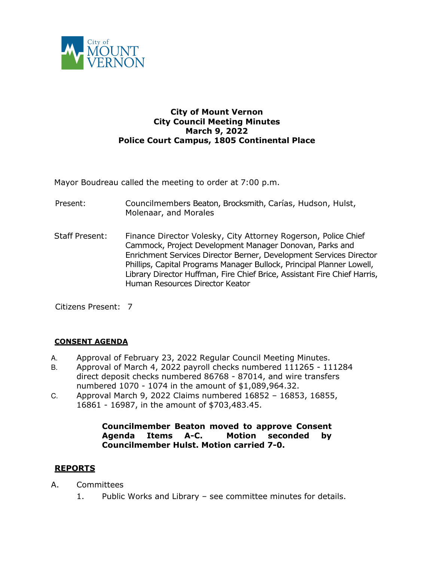

## **City of Mount Vernon City Council Meeting Minutes March 9, 2022 Police Court Campus, 1805 Continental Place**

Mayor Boudreau called the meeting to order at 7:00 p.m.

- Present: Councilmembers Beaton, Brocksmith, Carías, Hudson, Hulst, Molenaar, and Morales
- Staff Present: Finance Director Volesky, City Attorney Rogerson, Police Chief Cammock, Project Development Manager Donovan, Parks and Enrichment Services Director Berner, Development Services Director Phillips, Capital Programs Manager Bullock, Principal Planner Lowell, Library Director Huffman, Fire Chief Brice, Assistant Fire Chief Harris, Human Resources Director Keator

Citizens Present: 7

#### **CONSENT AGENDA**

- A. Approval of February 23, 2022 Regular Council Meeting Minutes.
- B. Approval of March 4, 2022 payroll checks numbered 111265 111284 direct deposit checks numbered 86768 - 87014, and wire transfers numbered 1070 - 1074 in the amount of \$1,089,964.32.
- C. Approval March 9, 2022 Claims numbered 16852 16853, 16855, 16861 - 16987, in the amount of \$703,483.45.

#### **Councilmember Beaton moved to approve Consent Agenda Items A-C. Motion seconded by Councilmember Hulst. Motion carried 7-0.**

## **REPORTS**

- A. Committees
	- 1. Public Works and Library see committee minutes for details.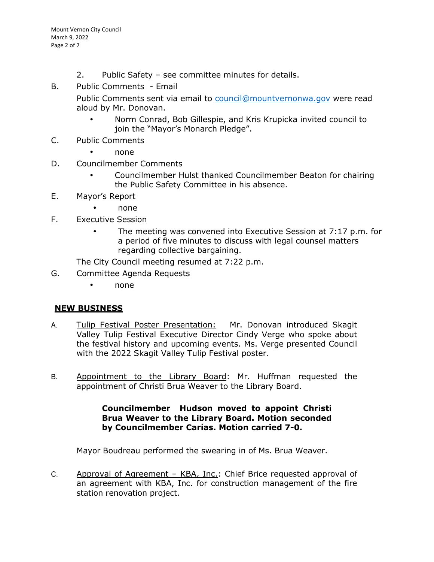- 2. Public Safety see committee minutes for details.
- B. Public Comments Email

Public Comments sent via email to council@mountvernonwa.gov were read aloud by Mr. Donovan.

- Norm Conrad, Bob Gillespie, and Kris Krupicka invited council to join the "Mayor's Monarch Pledge".
- C. Public Comments
	- none
- D. Councilmember Comments
	- Councilmember Hulst thanked Councilmember Beaton for chairing the Public Safety Committee in his absence.
- E. Mayor's Report
	- none
- F. Executive Session
	- The meeting was convened into Executive Session at 7:17 p.m. for a period of five minutes to discuss with legal counsel matters regarding collective bargaining.

The City Council meeting resumed at 7:22 p.m.

- G. Committee Agenda Requests
	- none

# **NEW BUSINESS**

- A. Tulip Festival Poster Presentation: Mr. Donovan introduced Skagit Valley Tulip Festival Executive Director Cindy Verge who spoke about the festival history and upcoming events. Ms. Verge presented Council with the 2022 Skagit Valley Tulip Festival poster.
- B. Appointment to the Library Board: Mr. Huffman requested the appointment of Christi Brua Weaver to the Library Board.

#### **Councilmember Hudson moved to appoint Christi Brua Weaver to the Library Board. Motion seconded by Councilmember Carías. Motion carried 7-0.**

Mayor Boudreau performed the swearing in of Ms. Brua Weaver.

C. Approval of Agreement – KBA, Inc.: Chief Brice requested approval of an agreement with KBA, Inc. for construction management of the fire station renovation project.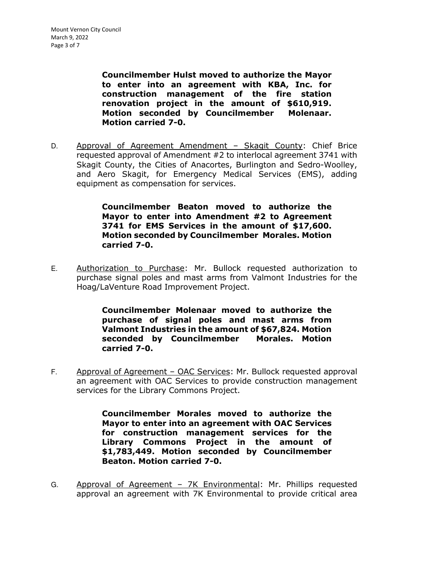**Councilmember Hulst moved to authorize the Mayor to enter into an agreement with KBA, Inc. for construction management of the fire station renovation project in the amount of \$610,919. Motion seconded by Councilmember Molenaar. Motion carried 7-0.** 

D. Approval of Agreement Amendment - Skagit County: Chief Brice requested approval of Amendment #2 to interlocal agreement 3741 with Skagit County, the Cities of Anacortes, Burlington and Sedro-Woolley, and Aero Skagit, for Emergency Medical Services (EMS), adding equipment as compensation for services.

> **Councilmember Beaton moved to authorize the Mayor to enter into Amendment #2 to Agreement 3741 for EMS Services in the amount of \$17,600. Motion seconded by Councilmember Morales. Motion carried 7-0.**

E. Authorization to Purchase: Mr. Bullock requested authorization to purchase signal poles and mast arms from Valmont Industries for the Hoag/LaVenture Road Improvement Project.

> **Councilmember Molenaar moved to authorize the purchase of signal poles and mast arms from Valmont Industries in the amount of \$67,824. Motion seconded by Councilmember Morales. Motion carried 7-0.**

F. Approval of Agreement – OAC Services: Mr. Bullock requested approval an agreement with OAC Services to provide construction management services for the Library Commons Project.

> **Councilmember Morales moved to authorize the Mayor to enter into an agreement with OAC Services for construction management services for the Library Commons Project in the amount of \$1,783,449. Motion seconded by Councilmember Beaton. Motion carried 7-0.**

G. Approval of Agreement – 7K Environmental: Mr. Phillips requested approval an agreement with 7K Environmental to provide critical area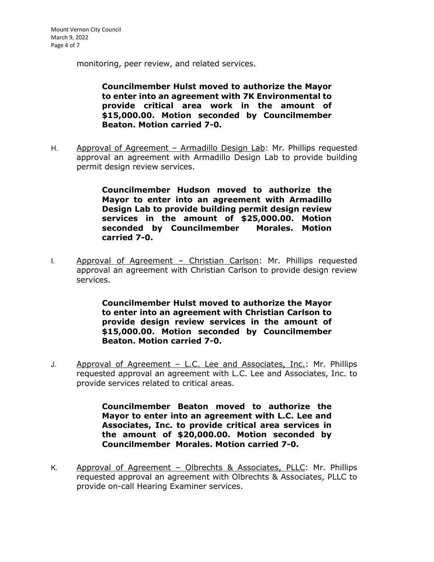monitoring, peer review, and related services.

**Councilmember Hulst moved to authorize the Mayor to enter into an agreement with 7K Environmental to provide critical area work in the amount of \$15,000.00. Motion seconded by Councilmember Beaton. Motion carried 7-0.** 

H. Approval of Agreement – Armadillo Design Lab: Mr. Phillips requested approval an agreement with Armadillo Design Lab to provide building permit design review services.

> **Councilmember Hudson moved to authorize the Mayor to enter into an agreement with Armadillo Design Lab to provide building permit design review services in the amount of \$25,000.00. Motion seconded by Councilmember Morales. Motion carried 7-0.**

I. Approval of Agreement – Christian Carlson: Mr. Phillips requested approval an agreement with Christian Carlson to provide design review services.

> **Councilmember Hulst moved to authorize the Mayor to enter into an agreement with Christian Carlson to provide design review services in the amount of \$15,000.00. Motion seconded by Councilmember Beaton. Motion carried 7-0.**

J. Approval of Agreement – L.C. Lee and Associates, Inc.: Mr. Phillips requested approval an agreement with L.C. Lee and Associates, Inc. to provide services related to critical areas.

> **Councilmember Beaton moved to authorize the Mayor to enter into an agreement with L.C. Lee and Associates, Inc. to provide critical area services in the amount of \$20,000.00. Motion seconded by Councilmember Morales. Motion carried 7-0.**

K. Approval of Agreement – Olbrechts & Associates, PLLC: Mr. Phillips requested approval an agreement with Olbrechts & Associates, PLLC to provide on-call Hearing Examiner services.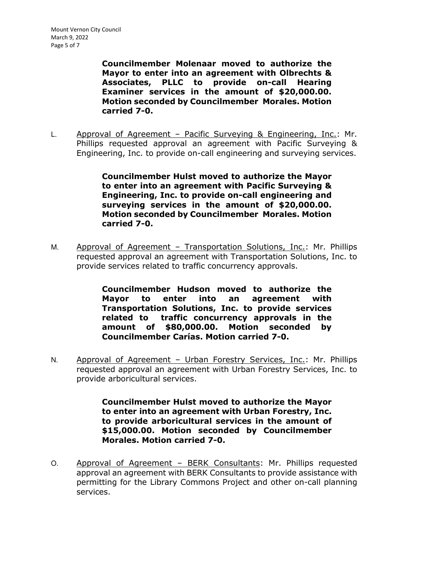**Councilmember Molenaar moved to authorize the Mayor to enter into an agreement with Olbrechts & Associates, PLLC to provide on-call Hearing Examiner services in the amount of \$20,000.00. Motion seconded by Councilmember Morales. Motion carried 7-0.** 

L. Approval of Agreement – Pacific Surveying & Engineering, Inc.: Mr. Phillips requested approval an agreement with Pacific Surveying & Engineering, Inc. to provide on-call engineering and surveying services.

> **Councilmember Hulst moved to authorize the Mayor to enter into an agreement with Pacific Surveying & Engineering, Inc. to provide on-call engineering and surveying services in the amount of \$20,000.00. Motion seconded by Councilmember Morales. Motion carried 7-0.**

M. Approval of Agreement – Transportation Solutions, Inc.: Mr. Phillips requested approval an agreement with Transportation Solutions, Inc. to provide services related to traffic concurrency approvals.

> **Councilmember Hudson moved to authorize the Mayor to enter into an agreement with Transportation Solutions, Inc. to provide services related to traffic concurrency approvals in the amount of \$80,000.00. Motion seconded by Councilmember Carías. Motion carried 7-0.**

N. Approval of Agreement - Urban Forestry Services, Inc.: Mr. Phillips requested approval an agreement with Urban Forestry Services, Inc. to provide arboricultural services.

> **Councilmember Hulst moved to authorize the Mayor to enter into an agreement with Urban Forestry, Inc. to provide arboricultural services in the amount of \$15,000.00. Motion seconded by Councilmember Morales. Motion carried 7-0.**

O. Approval of Agreement – BERK Consultants: Mr. Phillips requested approval an agreement with BERK Consultants to provide assistance with permitting for the Library Commons Project and other on-call planning services.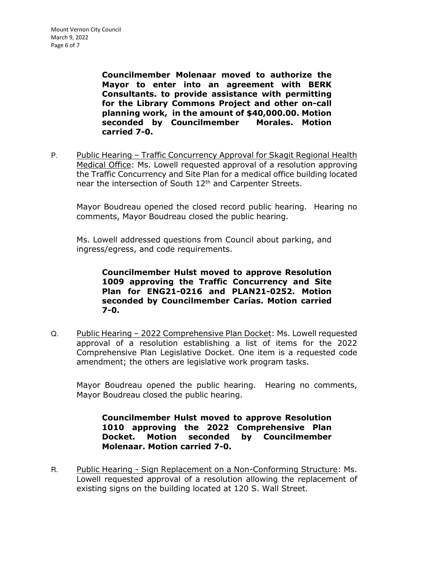**Councilmember Molenaar moved to authorize the Mayor to enter into an agreement with BERK Consultants. to provide assistance with permitting for the Library Commons Project and other on-call planning work, in the amount of \$40,000.00. Motion seconded by Councilmember Morales. Motion carried 7-0.** 

P. Public Hearing – Traffic Concurrency Approval for Skagit Regional Health Medical Office: Ms. Lowell requested approval of a resolution approving the Traffic Concurrency and Site Plan for a medical office building located near the intersection of South 12<sup>th</sup> and Carpenter Streets.

Mayor Boudreau opened the closed record public hearing. Hearing no comments, Mayor Boudreau closed the public hearing.

Ms. Lowell addressed questions from Council about parking, and ingress/egress, and code requirements.

> **Councilmember Hulst moved to approve Resolution 1009 approving the Traffic Concurrency and Site Plan for ENG21-0216 and PLAN21-0252. Motion seconded by Councilmember Carías. Motion carried 7-0.**

Q. Public Hearing - 2022 Comprehensive Plan Docket: Ms. Lowell requested approval of a resolution establishing a list of items for the 2022 Comprehensive Plan Legislative Docket. One item is a requested code amendment; the others are legislative work program tasks.

Mayor Boudreau opened the public hearing. Hearing no comments, Mayor Boudreau closed the public hearing.

**Councilmember Hulst moved to approve Resolution 1010 approving the 2022 Comprehensive Plan Docket. Motion seconded by Councilmember Molenaar. Motion carried 7-0.** 

R. Public Hearing - Sign Replacement on a Non-Conforming Structure: Ms. Lowell requested approval of a resolution allowing the replacement of existing signs on the building located at 120 S. Wall Street.